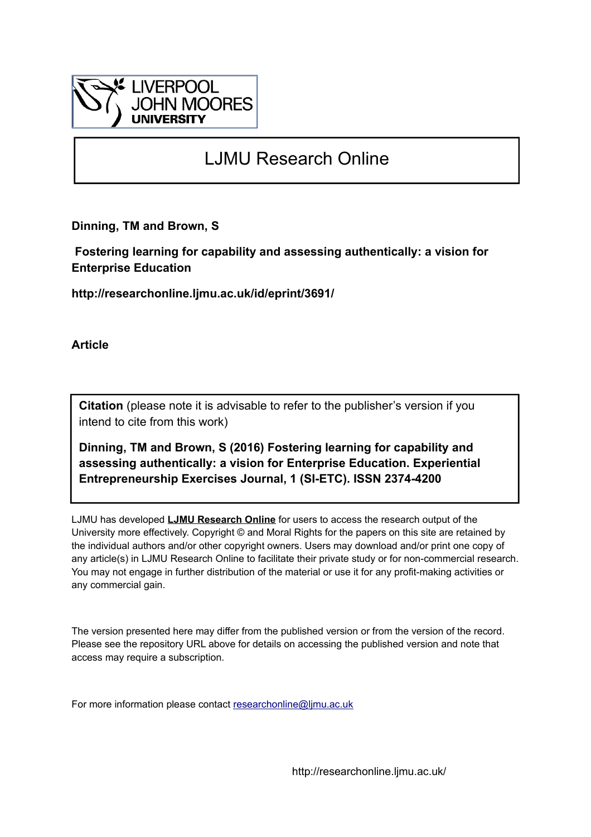

# LJMU Research Online

**Dinning, TM and Brown, S**

 **Fostering learning for capability and assessing authentically: a vision for Enterprise Education**

**http://researchonline.ljmu.ac.uk/id/eprint/3691/**

**Article**

**Citation** (please note it is advisable to refer to the publisher's version if you intend to cite from this work)

**Dinning, TM and Brown, S (2016) Fostering learning for capability and assessing authentically: a vision for Enterprise Education. Experiential Entrepreneurship Exercises Journal, 1 (SI-ETC). ISSN 2374-4200** 

LJMU has developed **[LJMU Research Online](http://researchonline.ljmu.ac.uk/)** for users to access the research output of the University more effectively. Copyright © and Moral Rights for the papers on this site are retained by the individual authors and/or other copyright owners. Users may download and/or print one copy of any article(s) in LJMU Research Online to facilitate their private study or for non-commercial research. You may not engage in further distribution of the material or use it for any profit-making activities or any commercial gain.

The version presented here may differ from the published version or from the version of the record. Please see the repository URL above for details on accessing the published version and note that access may require a subscription.

For more information please contact [researchonline@ljmu.ac.uk](mailto:researchonline@ljmu.ac.uk)

http://researchonline.ljmu.ac.uk/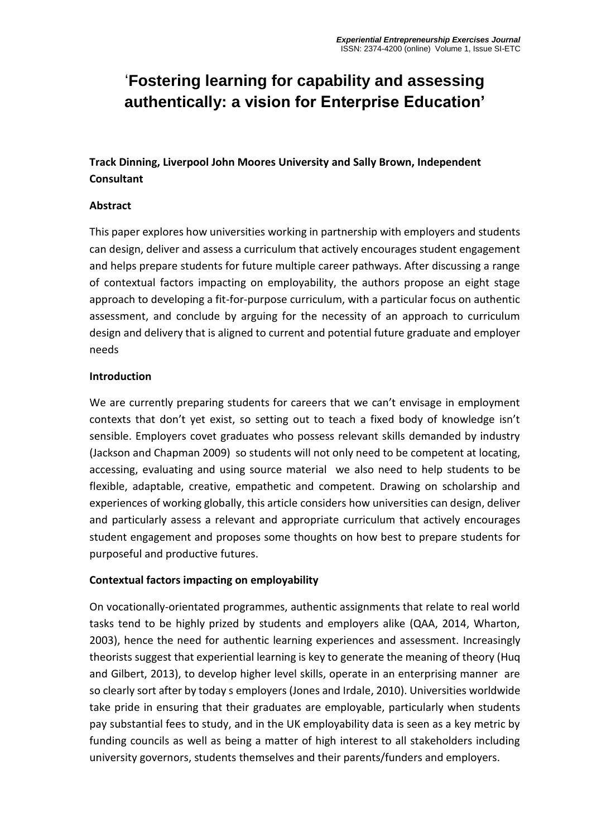# '**Fostering learning for capability and assessing authentically: a vision for Enterprise Education'**

**Track Dinning, Liverpool John Moores University and Sally Brown, Independent Consultant**

#### **Abstract**

This paper explores how universities working in partnership with employers and students can design, deliver and assess a curriculum that actively encourages student engagement and helps prepare students for future multiple career pathways. After discussing a range of contextual factors impacting on employability, the authors propose an eight stage approach to developing a fit-for-purpose curriculum, with a particular focus on authentic assessment, and conclude by arguing for the necessity of an approach to curriculum design and delivery that is aligned to current and potential future graduate and employer needs

#### **Introduction**

We are currently preparing students for careers that we can't envisage in employment contexts that don't yet exist, so setting out to teach a fixed body of knowledge isn't sensible. Employers covet graduates who possess relevant skills demanded by industry (Jackson and Chapman 2009) so students will not only need to be competent at locating, accessing, evaluating and using source material we also need to help students to be flexible, adaptable, creative, empathetic and competent. Drawing on scholarship and experiences of working globally, this article considers how universities can design, deliver and particularly assess a relevant and appropriate curriculum that actively encourages student engagement and proposes some thoughts on how best to prepare students for purposeful and productive futures.

#### **Contextual factors impacting on employability**

On vocationally-orientated programmes, authentic assignments that relate to real world tasks tend to be highly prized by students and employers alike (QAA, 2014, Wharton, 2003), hence the need for authentic learning experiences and assessment. Increasingly theorists suggest that experiential learning is key to generate the meaning of theory (Huq and Gilbert, 2013), to develop higher level skills, operate in an enterprising manner are so clearly sort after by today s employers (Jones and Irdale, 2010). Universities worldwide take pride in ensuring that their graduates are employable, particularly when students pay substantial fees to study, and in the UK employability data is seen as a key metric by funding councils as well as being a matter of high interest to all stakeholders including university governors, students themselves and their parents/funders and employers.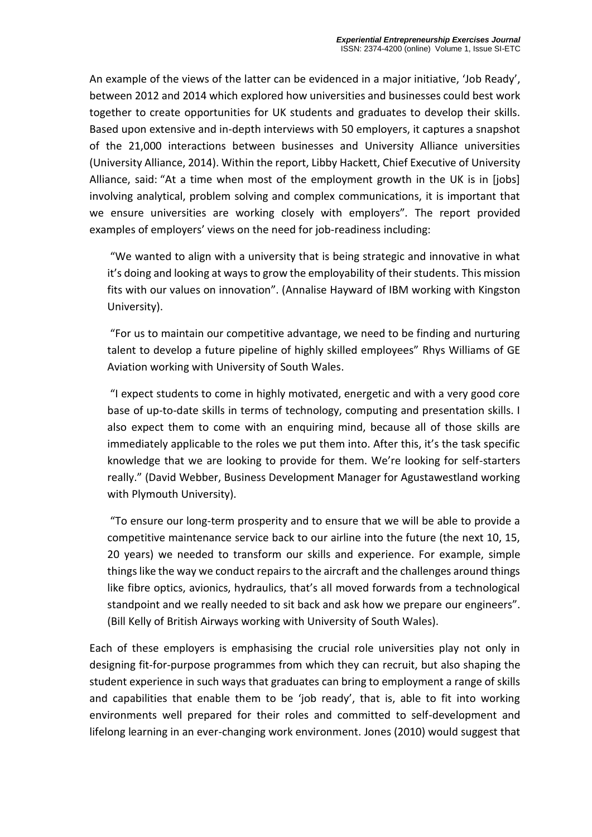An example of the views of the latter can be evidenced in a major initiative, 'Job Ready', between 2012 and 2014 which explored how universities and businesses could best work together to create opportunities for UK students and graduates to develop their skills. Based upon extensive and in-depth interviews with 50 employers, it captures a snapshot of the 21,000 interactions between businesses and University Alliance universities (University Alliance, 2014). Within the report, Libby Hackett, Chief Executive of University Alliance, said: "At a time when most of the employment growth in the UK is in [jobs] involving analytical, problem solving and complex communications, it is important that we ensure universities are working closely with employers"*.* The report provided examples of employers' views on the need for job-readiness including:

"We wanted to align with a university that is being strategic and innovative in what it's doing and looking at ways to grow the employability of their students. This mission fits with our values on innovation". (Annalise Hayward of IBM working with Kingston University).

"For us to maintain our competitive advantage, we need to be finding and nurturing talent to develop a future pipeline of highly skilled employees" Rhys Williams of GE Aviation working with University of South Wales.

"I expect students to come in highly motivated, energetic and with a very good core base of up-to-date skills in terms of technology, computing and presentation skills. I also expect them to come with an enquiring mind, because all of those skills are immediately applicable to the roles we put them into. After this, it's the task specific knowledge that we are looking to provide for them. We're looking for self-starters really." (David Webber, Business Development Manager for Agustawestland working with Plymouth University).

"To ensure our long-term prosperity and to ensure that we will be able to provide a competitive maintenance service back to our airline into the future (the next 10, 15, 20 years) we needed to transform our skills and experience. For example, simple things like the way we conduct repairs to the aircraft and the challenges around things like fibre optics, avionics, hydraulics, that's all moved forwards from a technological standpoint and we really needed to sit back and ask how we prepare our engineers". (Bill Kelly of British Airways working with University of South Wales).

Each of these employers is emphasising the crucial role universities play not only in designing fit-for-purpose programmes from which they can recruit, but also shaping the student experience in such ways that graduates can bring to employment a range of skills and capabilities that enable them to be 'job ready', that is, able to fit into working environments well prepared for their roles and committed to self-development and lifelong learning in an ever-changing work environment. Jones (2010) would suggest that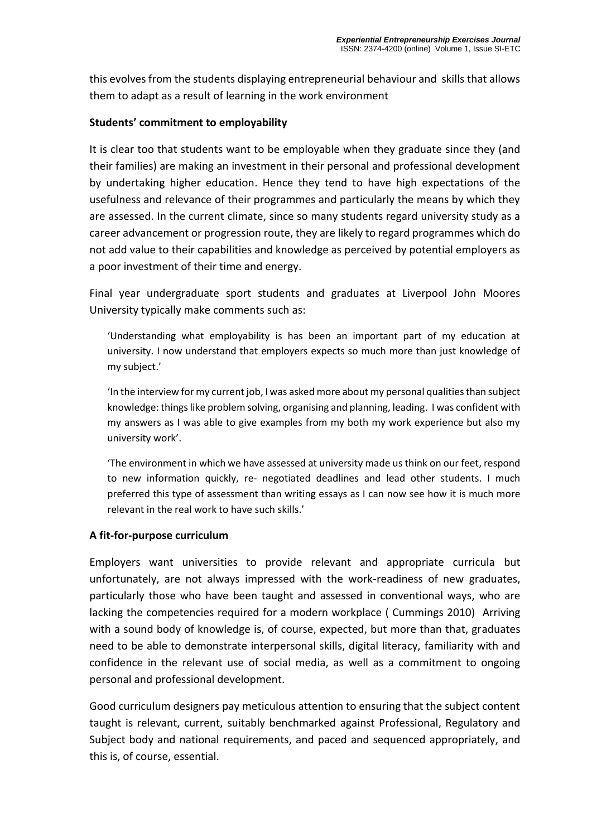this evolves from the students displaying entrepreneurial behaviour and skills that allows them to adapt as a result of learning in the work environment

#### **Students' commitment to employability**

It is clear too that students want to be employable when they graduate since they (and their families) are making an investment in their personal and professional development by undertaking higher education. Hence they tend to have high expectations of the usefulness and relevance of their programmes and particularly the means by which they are assessed. In the current climate, since so many students regard university study as a career advancement or progression route, they are likely to regard programmes which do not add value to their capabilities and knowledge as perceived by potential employers as a poor investment of their time and energy.

Final year undergraduate sport students and graduates at Liverpool John Moores University typically make comments such as:

'Understanding what employability is has been an important part of my education at university. I now understand that employers expects so much more than just knowledge of my subject.'

'In the interview for my current job, I was asked more about my personal qualities than subject knowledge: things like problem solving, organising and planning, leading. I was confident with my answers as I was able to give examples from my both my work experience but also my university work'.

'The environment in which we have assessed at university made us think on our feet, respond to new information quickly, re- negotiated deadlines and lead other students. I much preferred this type of assessment than writing essays as I can now see how it is much more relevant in the real work to have such skills.'

#### **A fit-for-purpose curriculum**

Employers want universities to provide relevant and appropriate curricula but unfortunately, are not always impressed with the work-readiness of new graduates, particularly those who have been taught and assessed in conventional ways, who are lacking the competencies required for a modern workplace ( Cummings 2010) Arriving with a sound body of knowledge is, of course, expected, but more than that, graduates need to be able to demonstrate interpersonal skills, digital literacy, familiarity with and confidence in the relevant use of social media, as well as a commitment to ongoing personal and professional development.

Good curriculum designers pay meticulous attention to ensuring that the subject content taught is relevant, current, suitably benchmarked against Professional, Regulatory and Subject body and national requirements, and paced and sequenced appropriately, and this is, of course, essential.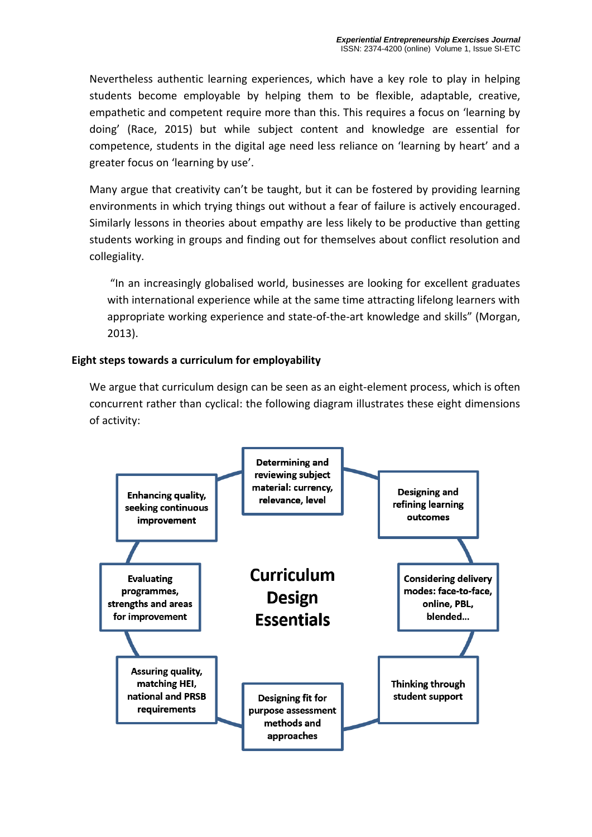Nevertheless authentic learning experiences, which have a key role to play in helping students become employable by helping them to be flexible, adaptable, creative, empathetic and competent require more than this. This requires a focus on 'learning by doing' (Race, 2015) but while subject content and knowledge are essential for competence, students in the digital age need less reliance on 'learning by heart' and a greater focus on 'learning by use'.

Many argue that creativity can't be taught, but it can be fostered by providing learning environments in which trying things out without a fear of failure is actively encouraged. Similarly lessons in theories about empathy are less likely to be productive than getting students working in groups and finding out for themselves about conflict resolution and collegiality.

"In an increasingly globalised world, businesses are looking for excellent graduates with international experience while at the same time attracting lifelong learners with appropriate working experience and state-of-the-art knowledge and skills" (Morgan, 2013).

#### **Eight steps towards a curriculum for employability**

We argue that curriculum design can be seen as an eight-element process, which is often concurrent rather than cyclical: the following diagram illustrates these eight dimensions of activity:

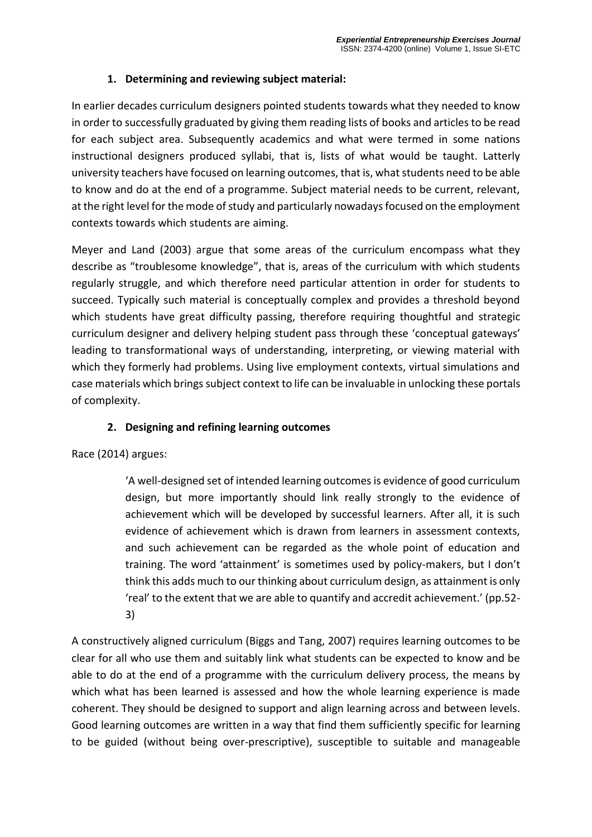### **1. Determining and reviewing subject material:**

In earlier decades curriculum designers pointed students towards what they needed to know in order to successfully graduated by giving them reading lists of books and articles to be read for each subject area. Subsequently academics and what were termed in some nations instructional designers produced syllabi, that is, lists of what would be taught. Latterly university teachers have focused on learning outcomes, that is, what students need to be able to know and do at the end of a programme. Subject material needs to be current, relevant, at the right level for the mode of study and particularly nowadays focused on the employment contexts towards which students are aiming.

Meyer and Land (2003) argue that some areas of the curriculum encompass what they describe as "troublesome knowledge", that is, areas of the curriculum with which students regularly struggle, and which therefore need particular attention in order for students to succeed. Typically such material is conceptually complex and provides a threshold beyond which students have great difficulty passing, therefore requiring thoughtful and strategic curriculum designer and delivery helping student pass through these 'conceptual gateways' leading to transformational ways of understanding, interpreting, or viewing material with which they formerly had problems. Using live employment contexts, virtual simulations and case materials which brings subject context to life can be invaluable in unlocking these portals of complexity.

#### **2. Designing and refining learning outcomes**

Race (2014) argues:

'A well-designed set of intended learning outcomes is evidence of good curriculum design, but more importantly should link really strongly to the evidence of achievement which will be developed by successful learners. After all, it is such evidence of achievement which is drawn from learners in assessment contexts, and such achievement can be regarded as the whole point of education and training. The word 'attainment' is sometimes used by policy-makers, but I don't think this adds much to our thinking about curriculum design, as attainment is only 'real' to the extent that we are able to quantify and accredit achievement.' (pp.52- 3)

A constructively aligned curriculum (Biggs and Tang, 2007) requires learning outcomes to be clear for all who use them and suitably link what students can be expected to know and be able to do at the end of a programme with the curriculum delivery process, the means by which what has been learned is assessed and how the whole learning experience is made coherent. They should be designed to support and align learning across and between levels. Good learning outcomes are written in a way that find them sufficiently specific for learning to be guided (without being over-prescriptive), susceptible to suitable and manageable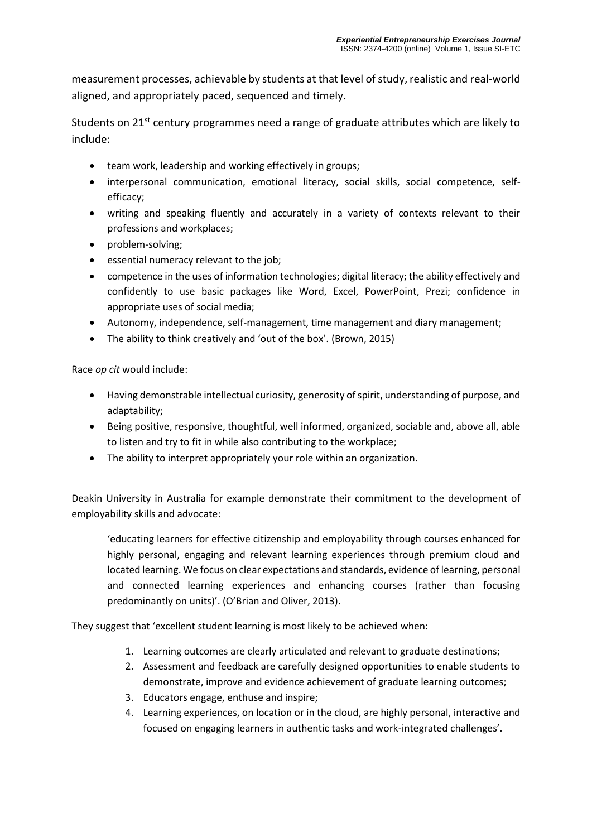measurement processes, achievable by students at that level of study, realistic and real-world aligned, and appropriately paced, sequenced and timely.

Students on 21<sup>st</sup> century programmes need a range of graduate attributes which are likely to include:

- team work, leadership and working effectively in groups;
- interpersonal communication, emotional literacy, social skills, social competence, selfefficacy;
- writing and speaking fluently and accurately in a variety of contexts relevant to their professions and workplaces;
- problem-solving;
- **e** essential numeracy relevant to the job;
- competence in the uses of information technologies; digital literacy; the ability effectively and confidently to use basic packages like Word, Excel, PowerPoint, Prezi; confidence in appropriate uses of social media;
- Autonomy, independence, self-management, time management and diary management;
- The ability to think creatively and 'out of the box'. (Brown, 2015)

Race *op cit* would include:

- Having demonstrable intellectual curiosity, generosity of spirit, understanding of purpose, and adaptability;
- Being positive, responsive, thoughtful, well informed, organized, sociable and, above all, able to listen and try to fit in while also contributing to the workplace;
- The ability to interpret appropriately your role within an organization.

Deakin University in Australia for example demonstrate their commitment to the development of employability skills and advocate:

'educating learners for effective citizenship and employability through courses enhanced for highly personal, engaging and relevant learning experiences through premium cloud and located learning. We focus on clear expectations and standards, evidence of learning, personal and connected learning experiences and enhancing courses (rather than focusing predominantly on units)'. (O'Brian and Oliver, 2013).

They suggest that 'excellent student learning is most likely to be achieved when:

- 1. Learning outcomes are clearly articulated and relevant to graduate destinations;
- 2. Assessment and feedback are carefully designed opportunities to enable students to demonstrate, improve and evidence achievement of graduate learning outcomes;
- 3. Educators engage, enthuse and inspire;
- 4. Learning experiences, on location or in the cloud, are highly personal, interactive and focused on engaging learners in authentic tasks and work-integrated challenges'.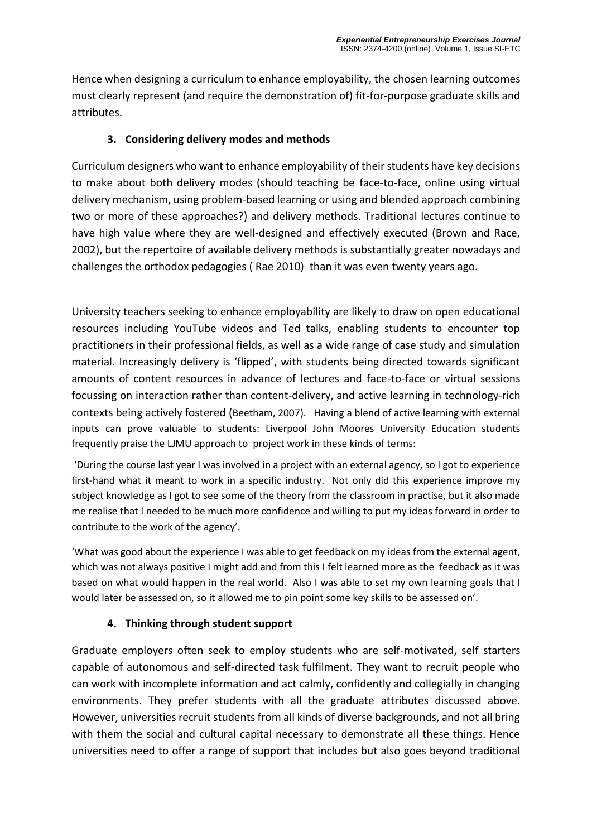Hence when designing a curriculum to enhance employability, the chosen learning outcomes must clearly represent (and require the demonstration of) fit-for-purpose graduate skills and attributes.

## **3. Considering delivery modes and methods**

Curriculum designers who want to enhance employability of their students have key decisions to make about both delivery modes (should teaching be face-to-face, online using virtual delivery mechanism, using problem-based learning or using and blended approach combining two or more of these approaches?) and delivery methods. Traditional lectures continue to have high value where they are well-designed and effectively executed (Brown and Race, 2002), but the repertoire of available delivery methods is substantially greater nowadays and challenges the orthodox pedagogies ( Rae 2010) than it was even twenty years ago.

University teachers seeking to enhance employability are likely to draw on open educational resources including YouTube videos and Ted talks, enabling students to encounter top practitioners in their professional fields, as well as a wide range of case study and simulation material. Increasingly delivery is 'flipped', with students being directed towards significant amounts of content resources in advance of lectures and face-to-face or virtual sessions focussing on interaction rather than content-delivery, and active learning in technology-rich contexts being actively fostered (Beetham, 2007). Having a blend of active learning with external inputs can prove valuable to students: Liverpool John Moores University Education students frequently praise the LJMU approach to project work in these kinds of terms:

'During the course last year I was involved in a project with an external agency, so I got to experience first-hand what it meant to work in a specific industry. Not only did this experience improve my subject knowledge as I got to see some of the theory from the classroom in practise, but it also made me realise that I needed to be much more confidence and willing to put my ideas forward in order to contribute to the work of the agency'.

'What was good about the experience I was able to get feedback on my ideas from the external agent, which was not always positive I might add and from this I felt learned more as the feedback as it was based on what would happen in the real world. Also I was able to set my own learning goals that I would later be assessed on, so it allowed me to pin point some key skills to be assessed on'.

# **4. Thinking through student support**

Graduate employers often seek to employ students who are self-motivated, self starters capable of autonomous and self-directed task fulfilment. They want to recruit people who can work with incomplete information and act calmly, confidently and collegially in changing environments. They prefer students with all the graduate attributes discussed above. However, universities recruit students from all kinds of diverse backgrounds, and not all bring with them the social and cultural capital necessary to demonstrate all these things. Hence universities need to offer a range of support that includes but also goes beyond traditional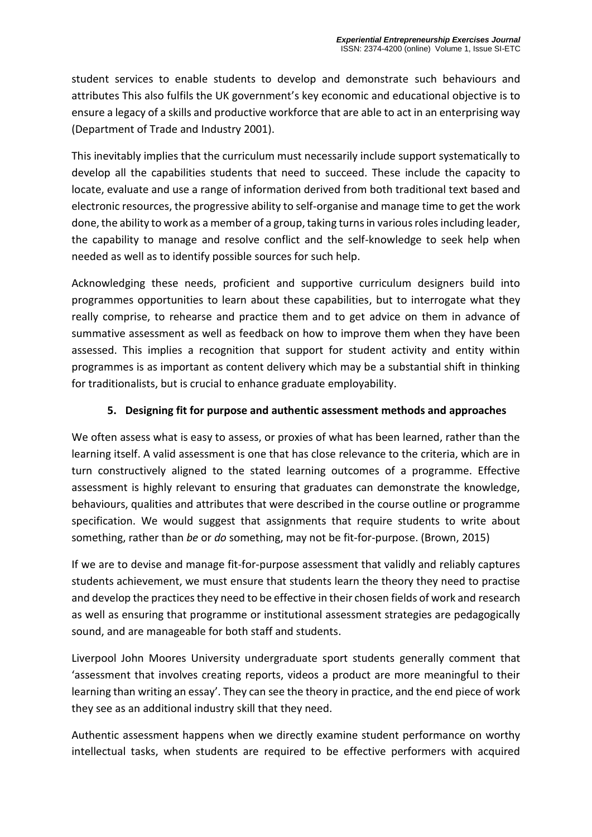student services to enable students to develop and demonstrate such behaviours and attributes This also fulfils the UK government's key economic and educational objective is to ensure a legacy of a skills and productive workforce that are able to act in an enterprising way (Department of Trade and Industry 2001).

This inevitably implies that the curriculum must necessarily include support systematically to develop all the capabilities students that need to succeed. These include the capacity to locate, evaluate and use a range of information derived from both traditional text based and electronic resources, the progressive ability to self-organise and manage time to get the work done, the ability to work as a member of a group, taking turns in various roles including leader, the capability to manage and resolve conflict and the self-knowledge to seek help when needed as well as to identify possible sources for such help.

Acknowledging these needs, proficient and supportive curriculum designers build into programmes opportunities to learn about these capabilities, but to interrogate what they really comprise, to rehearse and practice them and to get advice on them in advance of summative assessment as well as feedback on how to improve them when they have been assessed. This implies a recognition that support for student activity and entity within programmes is as important as content delivery which may be a substantial shift in thinking for traditionalists, but is crucial to enhance graduate employability.

### **5. Designing fit for purpose and authentic assessment methods and approaches**

We often assess what is easy to assess, or proxies of what has been learned, rather than the learning itself. A valid assessment is one that has close relevance to the criteria, which are in turn constructively aligned to the stated learning outcomes of a programme. Effective assessment is highly relevant to ensuring that graduates can demonstrate the knowledge, behaviours, qualities and attributes that were described in the course outline or programme specification. We would suggest that assignments that require students to write about something, rather than *be* or *do* something, may not be fit-for-purpose. (Brown, 2015)

If we are to devise and manage fit-for-purpose assessment that validly and reliably captures students achievement, we must ensure that students learn the theory they need to practise and develop the practices they need to be effective in their chosen fields of work and research as well as ensuring that programme or institutional assessment strategies are pedagogically sound, and are manageable for both staff and students.

Liverpool John Moores University undergraduate sport students generally comment that 'assessment that involves creating reports, videos a product are more meaningful to their learning than writing an essay'. They can see the theory in practice, and the end piece of work they see as an additional industry skill that they need.

Authentic assessment happens when we directly examine student performance on worthy intellectual tasks, when students are required to be effective performers with acquired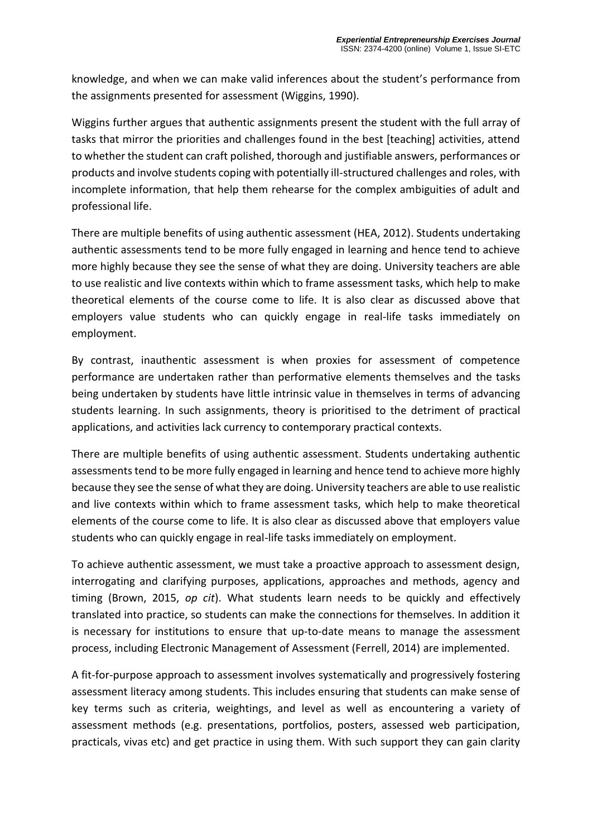knowledge, and when we can make valid inferences about the student's performance from the assignments presented for assessment (Wiggins, 1990).

Wiggins further argues that authentic assignments present the student with the full array of tasks that mirror the priorities and challenges found in the best [teaching] activities, attend to whether the student can craft polished, thorough and justifiable answers, performances or products and involve students coping with potentially ill-structured challenges and roles, with incomplete information, that help them rehearse for the complex ambiguities of adult and professional life.

There are multiple benefits of using authentic assessment (HEA, 2012). Students undertaking authentic assessments tend to be more fully engaged in learning and hence tend to achieve more highly because they see the sense of what they are doing. University teachers are able to use realistic and live contexts within which to frame assessment tasks, which help to make theoretical elements of the course come to life. It is also clear as discussed above that employers value students who can quickly engage in real-life tasks immediately on employment.

By contrast, inauthentic assessment is when proxies for assessment of competence performance are undertaken rather than performative elements themselves and the tasks being undertaken by students have little intrinsic value in themselves in terms of advancing students learning. In such assignments, theory is prioritised to the detriment of practical applications, and activities lack currency to contemporary practical contexts.

There are multiple benefits of using authentic assessment. Students undertaking authentic assessments tend to be more fully engaged in learning and hence tend to achieve more highly because they see the sense of what they are doing. University teachers are able to use realistic and live contexts within which to frame assessment tasks, which help to make theoretical elements of the course come to life. It is also clear as discussed above that employers value students who can quickly engage in real-life tasks immediately on employment.

To achieve authentic assessment, we must take a proactive approach to assessment design, interrogating and clarifying purposes, applications, approaches and methods, agency and timing (Brown, 2015, *op cit*). What students learn needs to be quickly and effectively translated into practice, so students can make the connections for themselves. In addition it is necessary for institutions to ensure that up-to-date means to manage the assessment process, including Electronic Management of Assessment (Ferrell, 2014) are implemented.

A fit-for-purpose approach to assessment involves systematically and progressively fostering assessment literacy among students. This includes ensuring that students can make sense of key terms such as criteria, weightings, and level as well as encountering a variety of assessment methods (e.g. presentations, portfolios, posters, assessed web participation, practicals, vivas etc) and get practice in using them. With such support they can gain clarity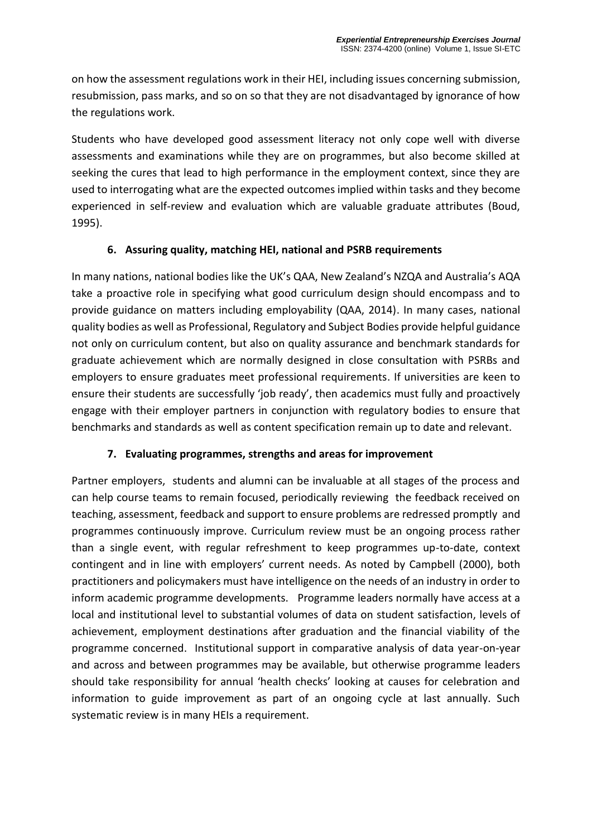on how the assessment regulations work in their HEI, including issues concerning submission, resubmission, pass marks, and so on so that they are not disadvantaged by ignorance of how the regulations work.

Students who have developed good assessment literacy not only cope well with diverse assessments and examinations while they are on programmes, but also become skilled at seeking the cures that lead to high performance in the employment context, since they are used to interrogating what are the expected outcomes implied within tasks and they become experienced in self-review and evaluation which are valuable graduate attributes (Boud, 1995).

### **6. Assuring quality, matching HEI, national and PSRB requirements**

In many nations, national bodies like the UK's QAA, New Zealand's NZQA and Australia's AQA take a proactive role in specifying what good curriculum design should encompass and to provide guidance on matters including employability (QAA, 2014). In many cases, national quality bodies as well as Professional, Regulatory and Subject Bodies provide helpful guidance not only on curriculum content, but also on quality assurance and benchmark standards for graduate achievement which are normally designed in close consultation with PSRBs and employers to ensure graduates meet professional requirements. If universities are keen to ensure their students are successfully 'job ready', then academics must fully and proactively engage with their employer partners in conjunction with regulatory bodies to ensure that benchmarks and standards as well as content specification remain up to date and relevant.

#### **7. Evaluating programmes, strengths and areas for improvement**

Partner employers, students and alumni can be invaluable at all stages of the process and can help course teams to remain focused, periodically reviewing the feedback received on teaching, assessment, feedback and support to ensure problems are redressed promptly and programmes continuously improve. Curriculum review must be an ongoing process rather than a single event, with regular refreshment to keep programmes up-to-date, context contingent and in line with employers' current needs. As noted by Campbell (2000), both practitioners and policymakers must have intelligence on the needs of an industry in order to inform academic programme developments. Programme leaders normally have access at a local and institutional level to substantial volumes of data on student satisfaction, levels of achievement, employment destinations after graduation and the financial viability of the programme concerned. Institutional support in comparative analysis of data year-on-year and across and between programmes may be available, but otherwise programme leaders should take responsibility for annual 'health checks' looking at causes for celebration and information to guide improvement as part of an ongoing cycle at last annually. Such systematic review is in many HEIs a requirement.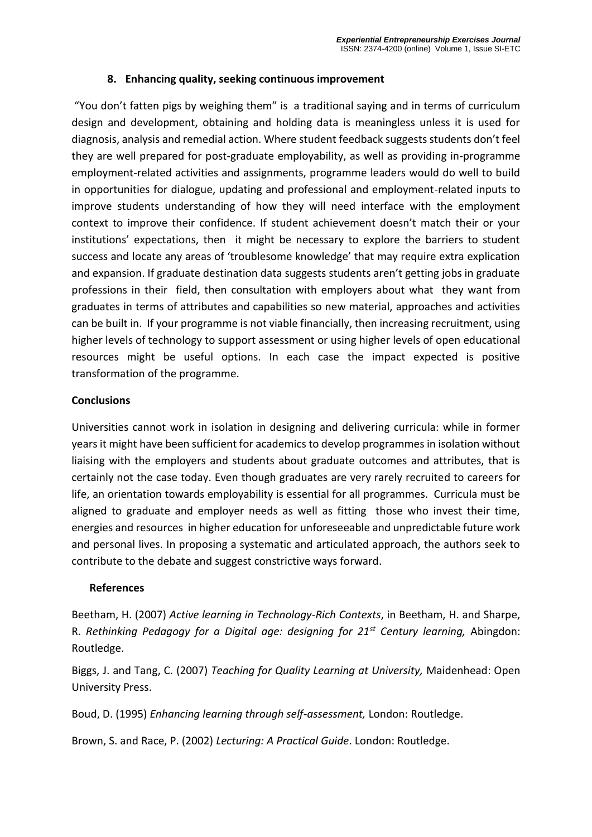#### **8. Enhancing quality, seeking continuous improvement**

"You don't fatten pigs by weighing them" is a traditional saying and in terms of curriculum design and development, obtaining and holding data is meaningless unless it is used for diagnosis, analysis and remedial action. Where student feedback suggests students don't feel they are well prepared for post-graduate employability, as well as providing in-programme employment-related activities and assignments, programme leaders would do well to build in opportunities for dialogue, updating and professional and employment-related inputs to improve students understanding of how they will need interface with the employment context to improve their confidence. If student achievement doesn't match their or your institutions' expectations, then it might be necessary to explore the barriers to student success and locate any areas of 'troublesome knowledge' that may require extra explication and expansion. If graduate destination data suggests students aren't getting jobs in graduate professions in their field, then consultation with employers about what they want from graduates in terms of attributes and capabilities so new material, approaches and activities can be built in. If your programme is not viable financially, then increasing recruitment, using higher levels of technology to support assessment or using higher levels of open educational resources might be useful options. In each case the impact expected is positive transformation of the programme.

#### **Conclusions**

Universities cannot work in isolation in designing and delivering curricula: while in former years it might have been sufficient for academics to develop programmes in isolation without liaising with the employers and students about graduate outcomes and attributes, that is certainly not the case today. Even though graduates are very rarely recruited to careers for life, an orientation towards employability is essential for all programmes. Curricula must be aligned to graduate and employer needs as well as fitting those who invest their time, energies and resources in higher education for unforeseeable and unpredictable future work and personal lives. In proposing a systematic and articulated approach, the authors seek to contribute to the debate and suggest constrictive ways forward.

#### **References**

Beetham, H. (2007) *Active learning in Technology-Rich Contexts*, in Beetham, H. and Sharpe, R. *Rethinking Pedagogy for a Digital age: designing for 21st Century learning,* Abingdon: Routledge.

Biggs, J. and Tang, C. (2007) *Teaching for Quality Learning at University,* Maidenhead: Open University Press.

Boud, D. (1995) *Enhancing learning through self-assessment,* London: Routledge.

Brown, S. and Race, P. (2002) *Lecturing: A Practical Guide*. London: Routledge.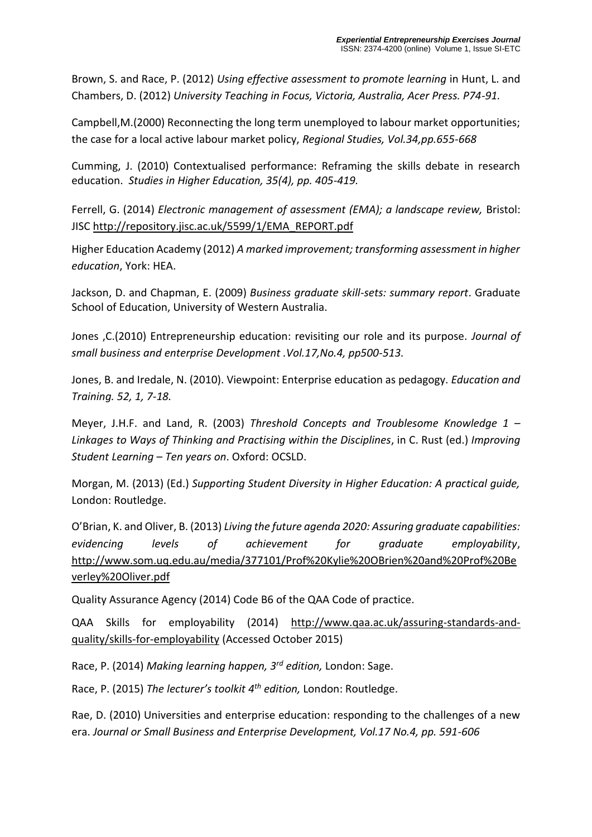Brown, S. and Race, P. (2012) *Using effective assessment to promote learning* in Hunt, L. and Chambers, D. (2012) *University Teaching in Focus, Victoria, Australia, Acer Press. P74-91.*

Campbell,M.(2000) Reconnecting the long term unemployed to labour market opportunities; the case for a local active labour market policy, *Regional Studies, Vol.34,pp.655-668*

Cumming, J. (2010) Contextualised performance: Reframing the skills debate in research education. *Studies in Higher Education, 35(4), pp. 405-419.*

Ferrell, G. (2014) *Electronic management of assessment (EMA); a landscape review,* Bristol: JISC [http://repository.jisc.ac.uk/5599/1/EMA\\_REPORT.pdf](http://repository.jisc.ac.uk/5599/1/EMA_REPORT.pdf)

Higher Education Academy (2012) *A marked improvement; transforming assessment in higher education*, York: HEA.

Jackson, D. and Chapman, E. (2009) *Business graduate skill-sets: summary report*. Graduate School of Education, University of Western Australia.

Jones ,C.(2010) Entrepreneurship education: revisiting our role and its purpose. *Journal of small business and enterprise Development .Vol.17,No.4, pp500-513.*

Jones, B. and Iredale, N. (2010). Viewpoint: Enterprise education as pedagogy. *Education and Training. 52, 1, 7-18.* 

Meyer, J.H.F. and Land, R. (2003) *Threshold Concepts and Troublesome Knowledge 1 – Linkages to Ways of Thinking and Practising within the Disciplines*, in C. Rust (ed.) *Improving Student Learning* – *Ten years on*. Oxford: OCSLD.

Morgan, M. (2013) (Ed.) *Supporting Student Diversity in Higher Education: A practical guide,* London: Routledge.

O'Brian, K. and Oliver, B. (2013) *Living the future agenda 2020: Assuring graduate capabilities: evidencing levels of achievement for graduate employability*, [http://www.som.uq.edu.au/media/377101/Prof%20Kylie%20OBrien%20and%20Prof%20Be](http://www.som.uq.edu.au/media/377101/Prof%20Kylie%20OBrien%20and%20Prof%20Beverley%20Oliver.pdf) [verley%20Oliver.pdf](http://www.som.uq.edu.au/media/377101/Prof%20Kylie%20OBrien%20and%20Prof%20Beverley%20Oliver.pdf)

Quality Assurance Agency (2014) Code B6 of the QAA Code of practice.

QAA Skills for employability (2014) [http://www.qaa.ac.uk/assuring-standards-and](http://www.qaa.ac.uk/assuring-standards-and-quality/skills-for-employability)[quality/skills-for-employability](http://www.qaa.ac.uk/assuring-standards-and-quality/skills-for-employability) (Accessed October 2015)

Race, P. (2014) *Making learning happen, 3rd edition,* London: Sage.

Race, P. (2015) *The lecturer's toolkit 4 th edition,* London: Routledge.

Rae, D. (2010) Universities and enterprise education: responding to the challenges of a new era. *Journal or Small Business and Enterprise Development, Vol.17 No.4, pp. 591-606*